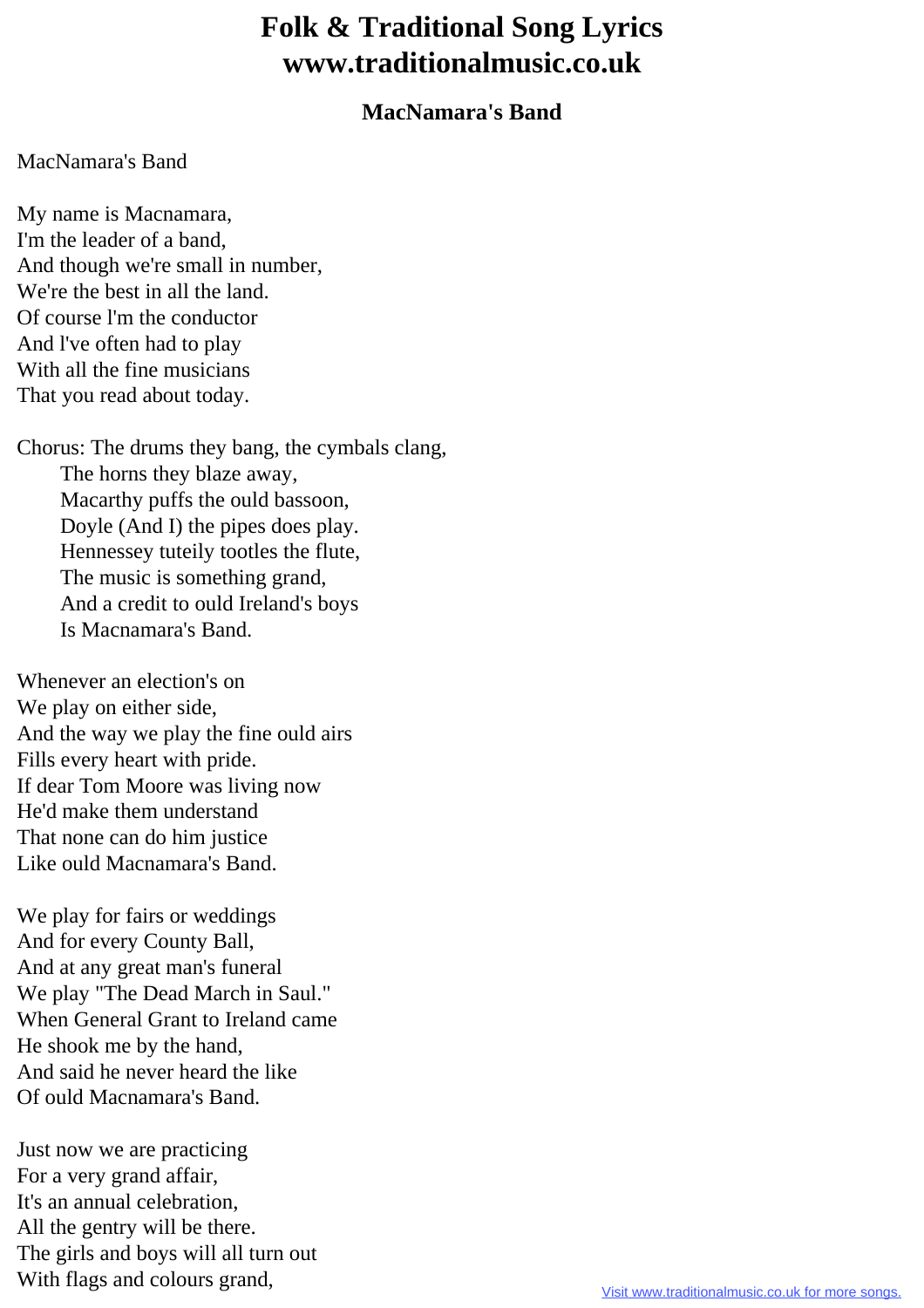## **Folk & Traditional Song Lyrics www.traditionalmusic.co.uk**

## **MacNamara's Band**

## MacNamara's Band

My name is Macnamara, I'm the leader of a band, And though we're small in number, We're the best in all the land. Of course l'm the conductor And l've often had to play With all the fine musicians That you read about today.

Chorus: The drums they bang, the cymbals clang, The horns they blaze away, Macarthy puffs the ould bassoon, Doyle (And I) the pipes does play. Hennessey tuteily tootles the flute, The music is something grand, And a credit to ould Ireland's boys Is Macnamara's Band.

Whenever an election's on We play on either side, And the way we play the fine ould airs Fills every heart with pride. If dear Tom Moore was living now He'd make them understand That none can do him justice Like ould Macnamara's Band.

We play for fairs or weddings And for every County Ball, And at any great man's funeral We play "The Dead March in Saul." When General Grant to Ireland came He shook me by the hand, And said he never heard the like Of ould Macnamara's Band.

Just now we are practicing For a very grand affair, It's an annual celebration, All the gentry will be there. The girls and boys will all turn out With flags and colours grand,